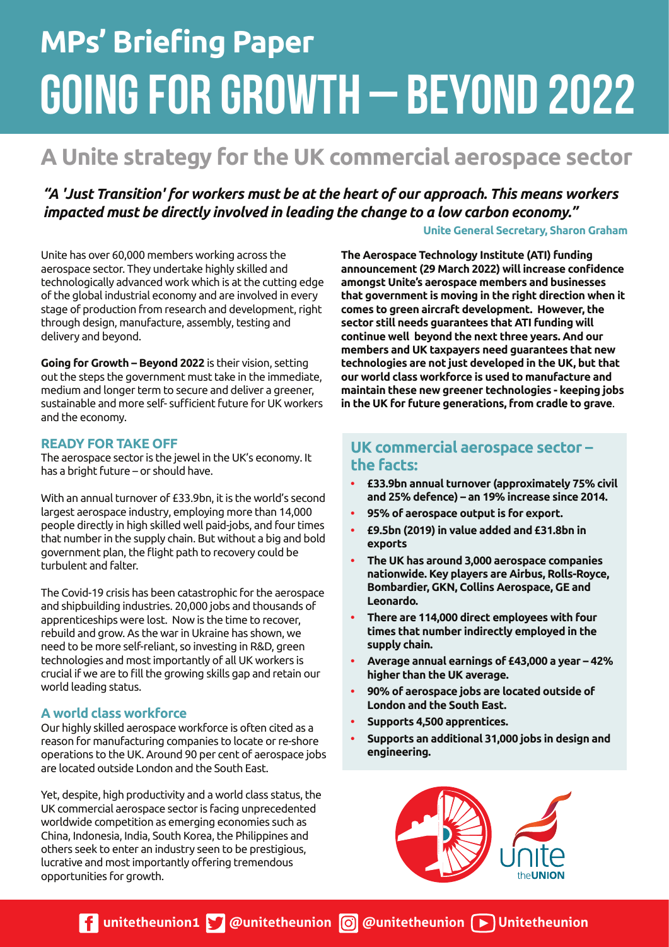# **MPs' Briefing Paper** GOING FOR GROWTH – BEYOND 2022

## **A Unite strategy for the UK commercial aerospace sector**

*"A 'Just Transition' for workers must be at the heart of our approach. This means workers impacted must be directly involved in leading the change to a low carbon economy."*

#### **Unite General Secretary, Sharon Graham**

Unite has over 60,000 members working across the aerospace sector. They undertake highly skilled and technologically advanced work which is at the cutting edge of the global industrial economy and are involved in every stage of production from research and development, right through design, manufacture, assembly, testing and delivery and beyond.

**Going for Growth – Beyond 2022** is their vision, setting out the steps the government must take in the immediate, medium and longer term to secure and deliver a greener, sustainable and more self- sufficient future for UK workers and the economy.

#### **READY FOR TAKE OFF**

The aerospace sector is the jewel in the UK's economy. It has a bright future – or should have.

With an annual turnover of £33.9bn, it is the world's second largest aerospace industry, employing more than 14,000 people directly in high skilled well paid-jobs, and four times that number in the supply chain. But without a big and bold government plan, the flight path to recovery could be turbulent and falter.

The Covid-19 crisis has been catastrophic for the aerospace and shipbuilding industries. 20,000 jobs and thousands of apprenticeships were lost. Now is the time to recover, rebuild and grow. As the war in Ukraine has shown, we need to be more self-reliant, so investing in R&D, green technologies and most importantly of all UK workers is crucial if we are to fill the growing skills gap and retain our world leading status.

#### **A world class workforce**

Our highly skilled aerospace workforce is often cited as a reason for manufacturing companies to locate or re-shore operations to the UK. Around 90 per cent of aerospace jobs are located outside London and the South East.

Yet, despite, high productivity and a world class status, the UK commercial aerospace sector is facing unprecedented worldwide competition as emerging economies such as China, Indonesia, India, South Korea, the Philippines and others seek to enter an industry seen to be prestigious, lucrative and most importantly offering tremendous opportunities for growth.

**The Aerospace Technology Institute (ATI) funding announcement (29 March 2022) will increase confidence amongst Unite's aerospace members and businesses that government is moving in the right direction when it comes to green aircraft development. However, the sector still needs guarantees that ATI funding will continue well beyond the next three years. And our members and UK taxpayers need guarantees that new technologies are not just developed in the UK, but that our world class workforce is used to manufacture and maintain these new greener technologies - keeping jobs in the UK for future generations, from cradle to grave**.

### **UK commercial aerospace sector – the facts:**

- **£33.9bn annual turnover (approximately 75% civil and 25% defence) – an 19% increase since 2014.**
- **95% of aerospace output is for export.**
- **£9.5bn (2019) in value added and £31.8bn in exports**
- **The UK has around 3,000 aerospace companies nationwide. Key players are Airbus, Rolls-Royce, Bombardier, GKN, Collins Aerospace, GE and Leonardo.**
- **There are 114,000 direct employees with four times that number indirectly employed in the supply chain.**
- **Average annual earnings of £43,000 a year 42% higher than the UK average.**
- **90% of aerospace jobs are located outside of London and the South East.**
- **Supports 4,500 apprentices.**
- **Supports an additional 31,000 jobs in design and engineering.**